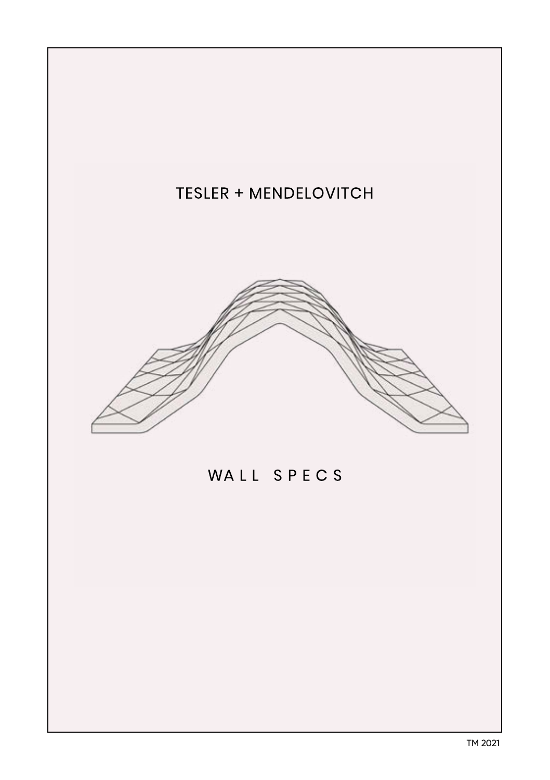